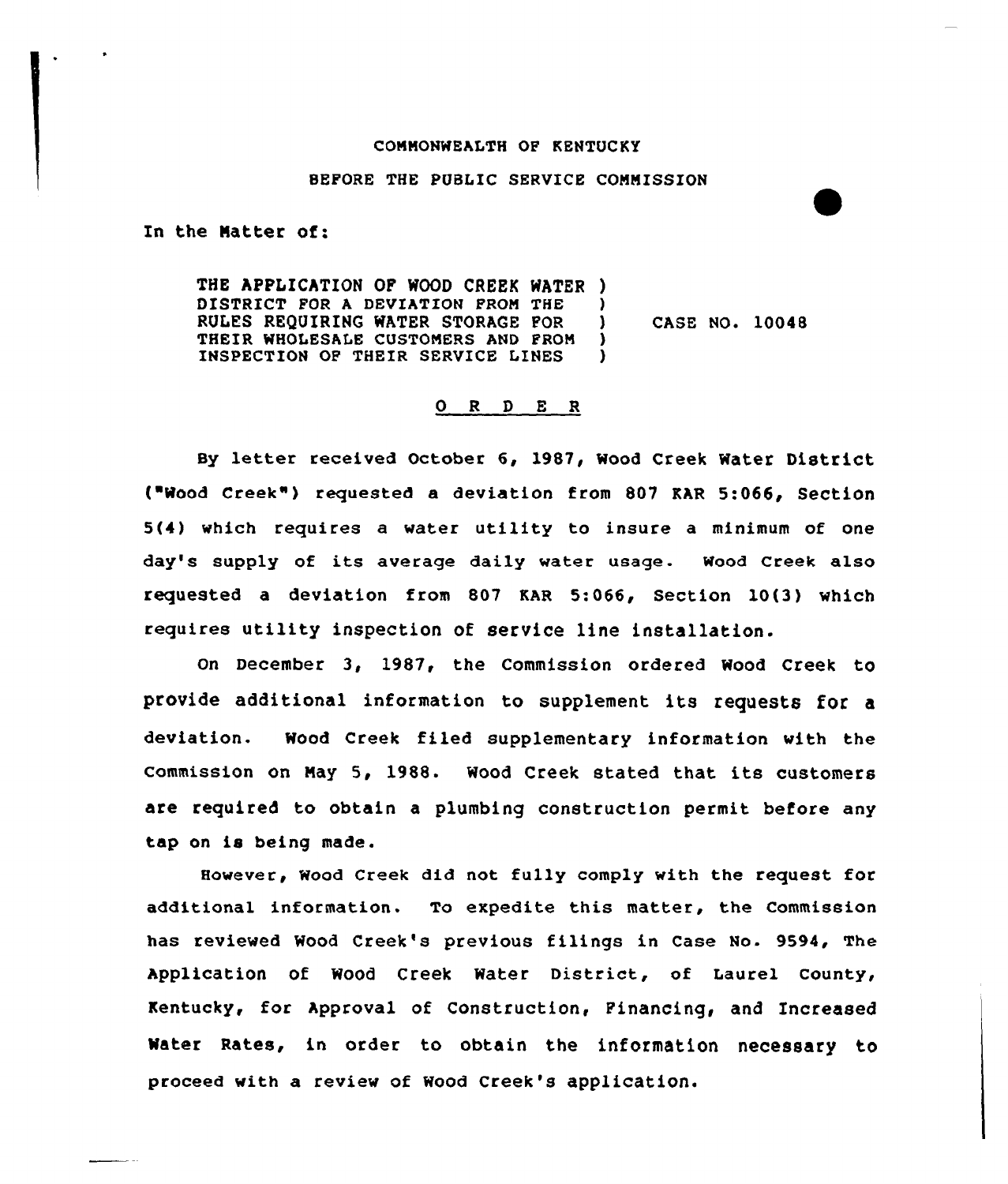## CONNONWEALTH OF KENTOCKY

## SEPORE THE PUBLIC SERVICE CONNISSION

In the Natter of:

THE APPLICATION OF WOOD CREEK WATER ) DISTRICT FOR A DEVIATION FROM THE )<br>RULES REQUIRING WATER STORAGE FOR ) RULES REQUIRING WATER STORAGE FOR 1 THEIR WHOLESALE CUSTOMERS AND PROM )<br>INSPECTION OF THEIR SERVICE LINES INSPECTION OF THEIR SERVICE LINES CASE NO. 10048

## Q R D E R

Sy letter received October 6, 1987, Wood Creek Water District ("Wood Creek") requested a deviation from 807 KAR 5:066, Section 5(4) which requires a water utility to insure a minimum of one day's supply of its average daily water usage. Wood Creek also requested a deviation from 807 RAR 5:066, Section 10(3) which requires utility inspection of service line installation.

On December 3, 1987, the Commission ordered Wood Creek to provide additional information to supplement its requests for <sup>a</sup> deviation. Wood Creek filed supplementary information with the commission on May 5, 1988. Wood Creek stated that its customers are required to obtain a plumbing construction permit before any tap on is being made.

However, Wood Creek did not fully comply with the request for additional information. To expedite this matter, the Commission has reviewed Wood Creek's previous filings in Case No. 9594, The Application of Wood Creek Water District, of Laurel County, Kentucky, for Approval of Construction, Financing< and Increased Water Rates, in order to obtain the information necessary to proceed with a review of Wood Creek's application.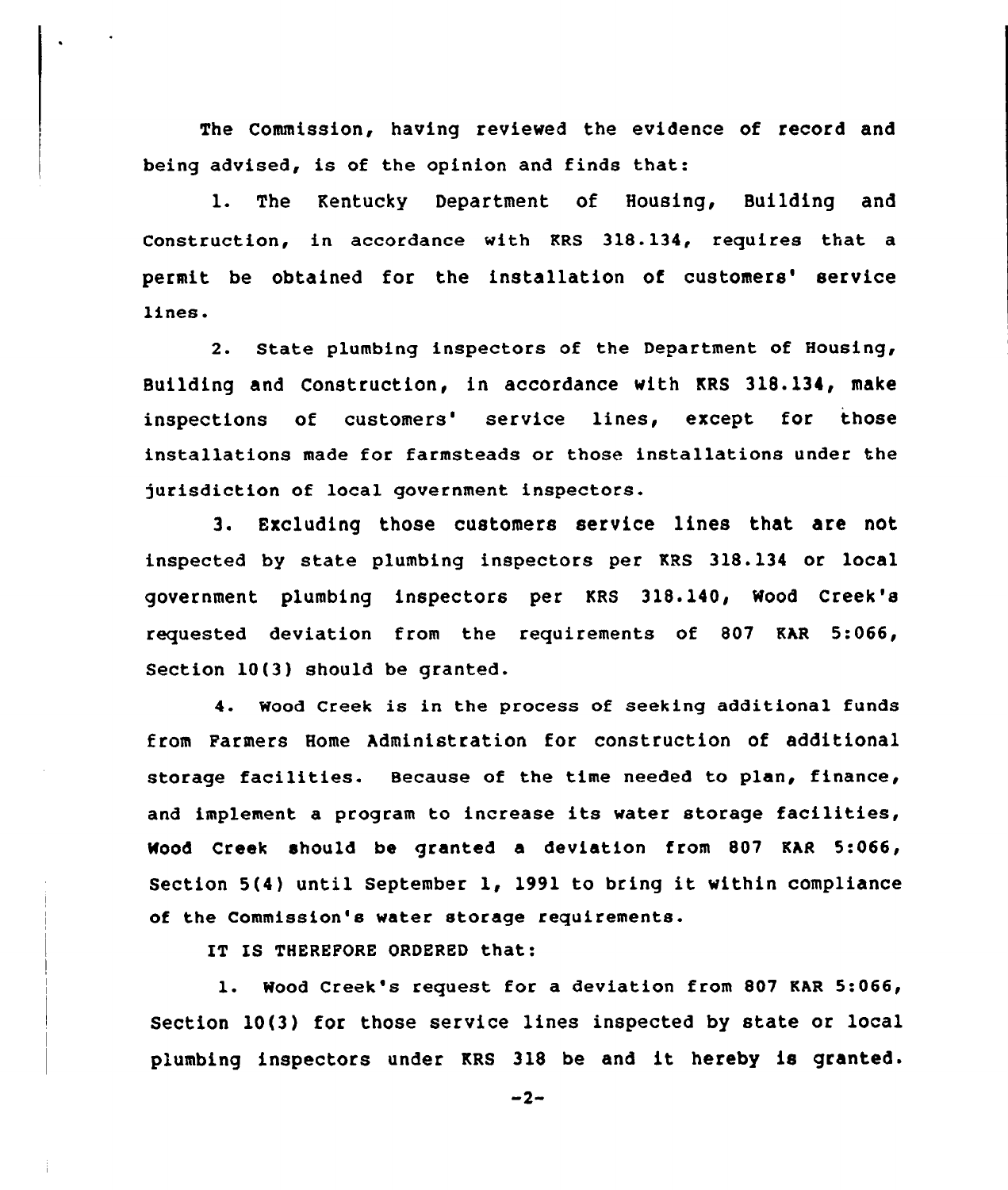The Commission, having reviewed the evidence of record and being advised, is of the opinion and finds that:

1. The Kentucky Department of Housing, Building and Construction, in accordance with KRS 318.134, requires that a permit be obtained for the installation of customers' service lines.

2. State plumbing inspectors of the Department of Housing, Building and Construction, in accordance with KRS 318.134, make inspections of customers' service lines, except for those installations made for farmsteads or those installations under the )urisdiction of local government inspectors.

3. Excluding those customers service lines that are not inspected by state plumbing inspectors per KRS 318.134 or local government plumbing inspectors per KRS 318.140, Wood Creek's requested deviation from the requirements of 807 KAR 5:066, Section 10(3) should be granted.

4. Wood Creek is in the process of seeking additional funds from Parmers Home Administration for construction of additional storage facilities. Because of the time needed to plan, finance, and implement <sup>a</sup> program to increase its water storage facilities, Wood Creek should be granted a deviation from 807 KAR 5:066, Section 5(4) until September 1, 1991 to bring it within compliance of the Commission's water storage requirements.

IT IS THEREFORE ORDERED that:

l. Wood Creek's request for <sup>a</sup> deviation from <sup>807</sup> KAR 5:066/ Section 10(3) for those service lines inspected by state or local pLumbing inspectors under KRS 318 be and it hereby is granted.

 $-2-$